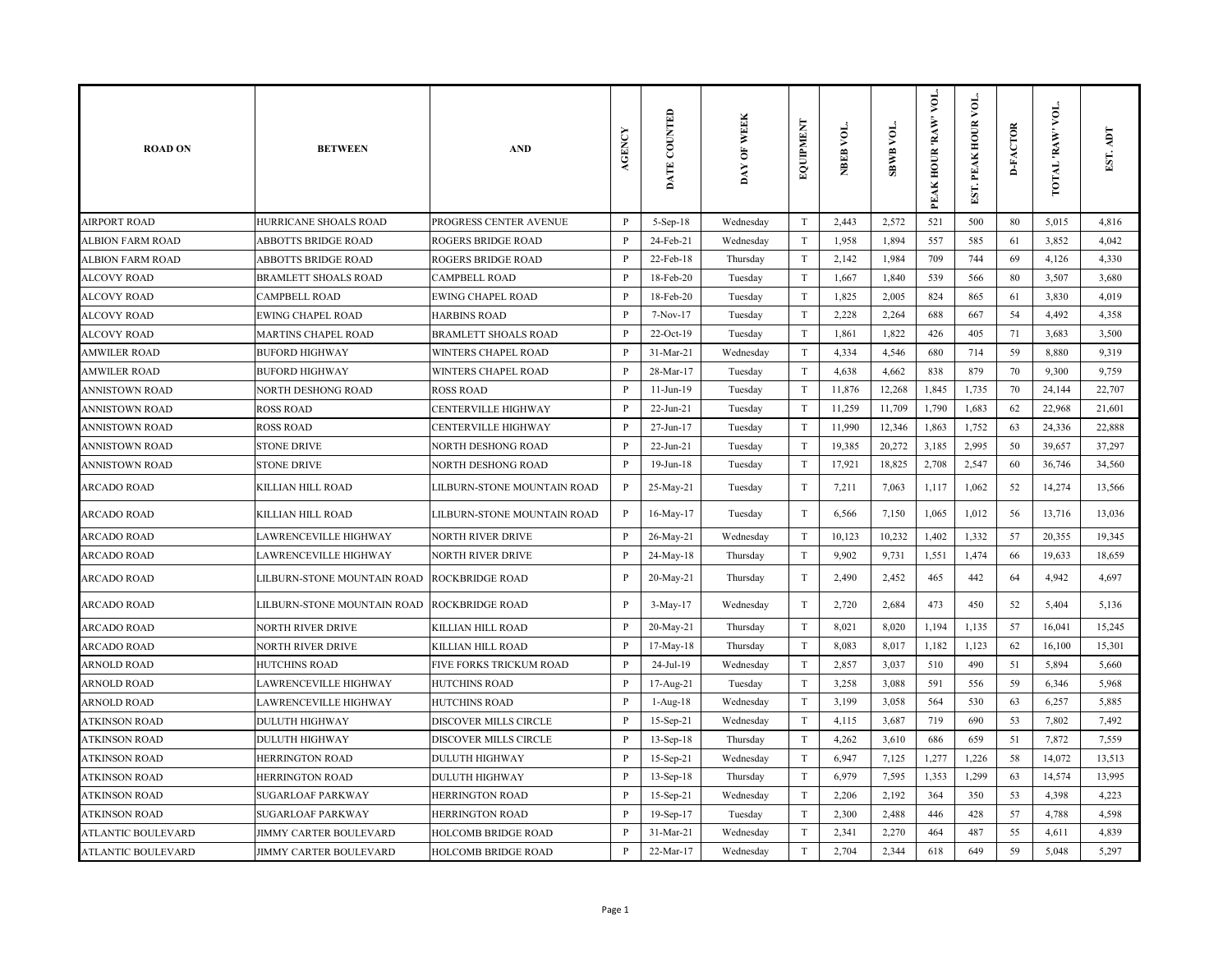| <b>ROAD ON</b>        | <b>BETWEEN</b>                | <b>AND</b>                  | <b>AGENCY</b> | DATE COUNTED    | DAY OF WEEK | EQUIPMENT                 | NBEB VOL. | <b>SBWB VOL.</b> | VOL.<br>PEAK HOUR 'RAW' | EST. PEAK HOUR VOL | <b>D-FACTOR</b> | VOL.<br>TOTAL RAW | EST. ADT |
|-----------------------|-------------------------------|-----------------------------|---------------|-----------------|-------------|---------------------------|-----------|------------------|-------------------------|--------------------|-----------------|-------------------|----------|
| <b>AIRPORT ROAD</b>   | HURRICANE SHOALS ROAD         | PROGRESS CENTER AVENUE      | $\, {\bf P}$  | 5-Sep-18        | Wednesday   | T                         | 2,443     | 2,572            | 521                     | 500                | 80              | 5,015             | 4,816    |
| ALBION FARM ROAD      | ABBOTTS BRIDGE ROAD           | <b>ROGERS BRIDGE ROAD</b>   | P             | 24-Feb-21       | Wednesday   | T                         | 1,958     | 1,894            | 557                     | 585                | 61              | 3,852             | 4,042    |
| ALBION FARM ROAD      | ABBOTTS BRIDGE ROAD           | ROGERS BRIDGE ROAD          | P             | 22-Feb-18       | Thursday    | $\ensuremath{\mathrm{T}}$ | 2,142     | 1,984            | 709                     | 744                | 69              | 4,126             | 4,330    |
| <b>ALCOVY ROAD</b>    | <b>BRAMLETT SHOALS ROAD</b>   | <b>CAMPBELL ROAD</b>        | P             | 18-Feb-20       | Tuesday     | $\ensuremath{\mathrm{T}}$ | 1,667     | 1,840            | 539                     | 566                | 80              | 3,507             | 3,680    |
| <b>ALCOVY ROAD</b>    | <b>CAMPBELL ROAD</b>          | <b>EWING CHAPEL ROAD</b>    | $\mathbf{P}$  | 18-Feb-20       | Tuesday     | $\ensuremath{\mathrm{T}}$ | 1,825     | 2,005            | 824                     | 865                | 61              | 3,830             | 4,019    |
| ALCOVY ROAD           | <b>EWING CHAPEL ROAD</b>      | <b>HARBINS ROAD</b>         | P             | 7-Nov-17        | Tuesday     | T                         | 2,228     | 2,264            | 688                     | 667                | 54              | 4,492             | 4,358    |
| ALCOVY ROAD           | MARTINS CHAPEL ROAD           | <b>BRAMLETT SHOALS ROAD</b> | $\mathbf{P}$  | 22-Oct-19       | Tuesday     | T                         | 1,861     | 1,822            | 426                     | 405                | 71              | 3,683             | 3,500    |
| <b>AMWILER ROAD</b>   | <b>BUFORD HIGHWAY</b>         | WINTERS CHAPEL ROAD         | P             | $31-Mar-21$     | Wednesday   | $\ensuremath{\mathrm{T}}$ | 4,334     | 4,546            | 680                     | 714                | 59              | 8,880             | 9,319    |
| <b>AMWILER ROAD</b>   | <b>BUFORD HIGHWAY</b>         | WINTERS CHAPEL ROAD         | P             | 28-Mar-17       | Tuesday     | $\ensuremath{\mathrm{T}}$ | 4,638     | 4,662            | 838                     | 879                | 70              | 9,300             | 9,759    |
| <b>ANNISTOWN ROAD</b> | NORTH DESHONG ROAD            | <b>ROSS ROAD</b>            | $\, {\bf P}$  | $11-Jun-19$     | Tuesday     | $\ensuremath{\mathrm{T}}$ | 11,876    | 12,268           | 1,845                   | 1,735              | 70              | 24,144            | 22,707   |
| ANNISTOWN ROAD        | <b>ROSS ROAD</b>              | <b>CENTERVILLE HIGHWAY</b>  | P             | 22-Jun-21       | Tuesday     | $\ensuremath{\mathrm{T}}$ | 11,259    | 11,709           | 1,790                   | 1,683              | 62              | 22,968            | 21,601   |
| <b>ANNISTOWN ROAD</b> | <b>ROSS ROAD</b>              | CENTERVILLE HIGHWAY         | P             | 27-Jun-17       | Tuesday     | $\rm T$                   | 11,990    | 12,346           | 1,863                   | 1,752              | 63              | 24,336            | 22,888   |
| <b>ANNISTOWN ROAD</b> | <b>STONE DRIVE</b>            | NORTH DESHONG ROAD          | $\mathbf{P}$  | $22 - Jun - 21$ | Tuesday     | T                         | 19,385    | 20,272           | 3,185                   | 2,995              | 50              | 39,657            | 37,297   |
| ANNISTOWN ROAD        | <b>STONE DRIVE</b>            | NORTH DESHONG ROAD          | P             | 19-Jun-18       | Tuesday     | T                         | 17,921    | 18,825           | 2,708                   | 2,547              | 60              | 36,746            | 34,560   |
| ARCADO ROAD           | KILLIAN HILL ROAD             | LILBURN-STONE MOUNTAIN ROAD | P             | 25-May-21       | Tuesday     | T                         | 7,211     | 7,063            | 1,117                   | 1,062              | 52              | 14,274            | 13,566   |
| ARCADO ROAD           | KILLIAN HILL ROAD             | LILBURN-STONE MOUNTAIN ROAD | $\, {\bf P}$  | 16-May-17       | Tuesday     | $\rm T$                   | 6,566     | 7,150            | 1,065                   | 1,012              | 56              | 13,716            | 13,036   |
| <b>ARCADO ROAD</b>    | LAWRENCEVILLE HIGHWAY         | <b>NORTH RIVER DRIVE</b>    | $\mathbf{P}$  | 26-May-21       | Wednesday   | $\rm T$                   | 10,123    | 10,232           | 1,402                   | 1,332              | 57              | 20,355            | 19,345   |
| ARCADO ROAD           | LAWRENCEVILLE HIGHWAY         | <b>NORTH RIVER DRIVE</b>    | $\mathbf{P}$  | 24-May-18       | Thursday    | T                         | 9,902     | 9,731            | 1,551                   | 1,474              | 66              | 19,633            | 18,659   |
| <b>ARCADO ROAD</b>    | LILBURN-STONE MOUNTAIN ROAD   | <b>ROCKBRIDGE ROAD</b>      | P             | 20-May-21       | Thursday    | $\rm T$                   | 2,490     | 2,452            | 465                     | 442                | 64              | 4,942             | 4,697    |
| ARCADO ROAD           | LILBURN-STONE MOUNTAIN ROAD   | <b>ROCKBRIDGE ROAD</b>      | $\mathbf{P}$  | 3-May-17        | Wednesday   | T                         | 2,720     | 2,684            | 473                     | 450                | 52              | 5,404             | 5,136    |
| ARCADO ROAD           | NORTH RIVER DRIVE             | KILLIAN HILL ROAD           | P             | 20-May-21       | Thursday    | T                         | 8,021     | 8,020            | 1,194                   | 1,135              | 57              | 16,041            | 15,245   |
| ARCADO ROAD           | NORTH RIVER DRIVE             | KILLIAN HILL ROAD           | $\mathbf{P}$  | 17-May-18       | Thursday    | T                         | 8,083     | 8,017            | 1,182                   | 1,123              | 62              | 16,100            | 15,301   |
| ARNOLD ROAD           | <b>HUTCHINS ROAD</b>          | FIVE FORKS TRICKUM ROAD     | $\mathbf{P}$  | 24-Jul-19       | Wednesday   | T                         | 2,857     | 3,037            | 510                     | 490                | 51              | 5,894             | 5,660    |
| ARNOLD ROAD           | LAWRENCEVILLE HIGHWAY         | <b>HUTCHINS ROAD</b>        | P             | 17-Aug-21       | Tuesday     | T                         | 3,258     | 3,088            | 591                     | 556                | 59              | 6,346             | 5,968    |
| ARNOLD ROAD           | LAWRENCEVILLE HIGHWAY         | <b>HUTCHINS ROAD</b>        | $\mathbf{P}$  | 1-Aug-18        | Wednesday   | $\ensuremath{\mathrm{T}}$ | 3,199     | 3,058            | 564                     | 530                | 63              | 6,257             | 5,885    |
| ATKINSON ROAD         | <b>DULUTH HIGHWAY</b>         | DISCOVER MILLS CIRCLE       | $\mathbf{P}$  | 15-Sep-21       | Wednesday   | $\ensuremath{\mathrm{T}}$ | 4,115     | 3,687            | 719                     | 690                | 53              | 7,802             | 7,492    |
| ATKINSON ROAD         | <b>DULUTH HIGHWAY</b>         | DISCOVER MILLS CIRCLE       | $\mathbf{P}$  | 13-Sep-18       | Thursday    | T                         | 4,262     | 3,610            | 686                     | 659                | 51              | 7,872             | 7,559    |
| <b>ATKINSON ROAD</b>  | <b>HERRINGTON ROAD</b>        | <b>DULUTH HIGHWAY</b>       | $\mathbf{P}$  | 15-Sep-21       | Wednesday   | $\rm T$                   | 6,947     | 7,125            | 1,277                   | 1,226              | 58              | 14,072            | 13,513   |
| <b>ATKINSON ROAD</b>  | <b>HERRINGTON ROAD</b>        | <b>DULUTH HIGHWAY</b>       | P             | $13-Sep-18$     | Thursday    | T                         | 6,979     | 7,595            | 1,353                   | 1,299              | 63              | 14,574            | 13,995   |
| ATKINSON ROAD         | <b>SUGARLOAF PARKWAY</b>      | <b>HERRINGTON ROAD</b>      | $\mathbf{P}$  | 15-Sep-21       | Wednesday   | T                         | 2,206     | 2,192            | 364                     | 350                | 53              | 4,398             | 4,223    |
| <b>ATKINSON ROAD</b>  | <b>SUGARLOAF PARKWAY</b>      | HERRINGTON ROAD             | $\mathbf{P}$  | 19-Sep-17       | Tuesday     | $\ensuremath{\mathrm{T}}$ | 2,300     | 2,488            | 446                     | 428                | 57              | 4,788             | 4,598    |
| ATLANTIC BOULEVARD    | <b>JIMMY CARTER BOULEVARD</b> | <b>HOLCOMB BRIDGE ROAD</b>  | P             | $31-Mar-21$     | Wednesday   | $\ensuremath{\mathrm{T}}$ | 2,341     | 2,270            | 464                     | 487                | 55              | 4,611             | 4,839    |
| ATLANTIC BOULEVARD    | JIMMY CARTER BOULEVARD        | <b>HOLCOMB BRIDGE ROAD</b>  | P             | 22-Mar-17       | Wednesday   | T                         | 2,704     | 2,344            | 618                     | 649                | 59              | 5,048             | 5,297    |